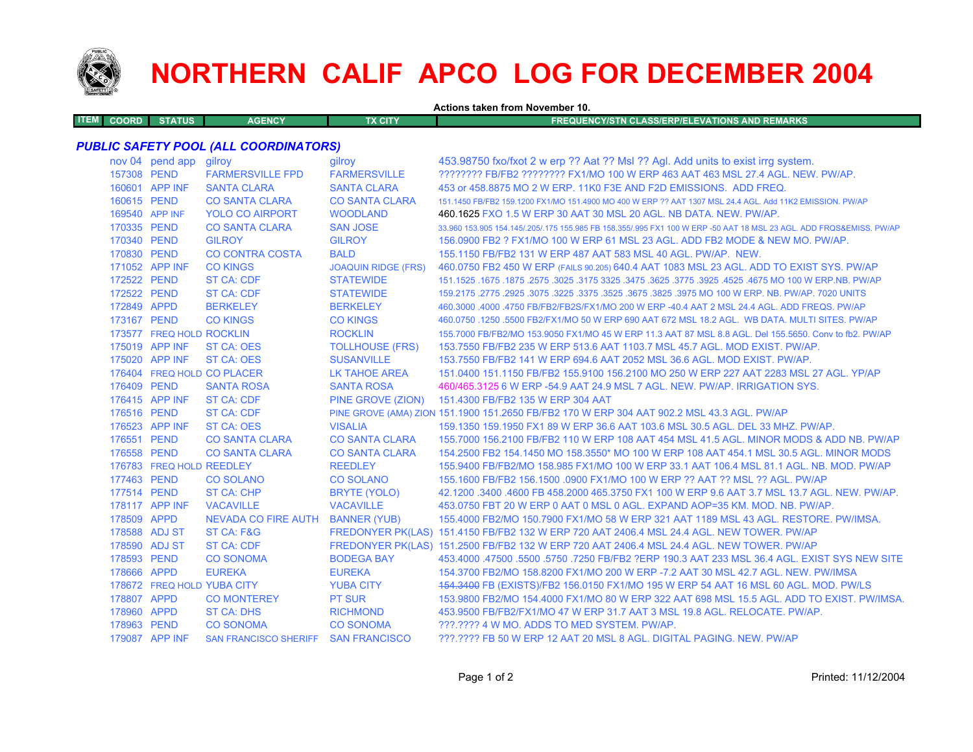

## **NORTHERN CALIF APCO LOG FOR DECEMBER 2004**

|             | Actions taken from November 10. |                            |                                       |                            |                                                                                                                     |  |  |
|-------------|---------------------------------|----------------------------|---------------------------------------|----------------------------|---------------------------------------------------------------------------------------------------------------------|--|--|
| <b>ITEM</b> | <b>COORD</b>                    | <b>STATUS</b>              | <b>AGENCY</b>                         | <b>TX CITY</b>             | <b>FREQUENCY/STN CLASS/ERP/ELEVATIONS AND REMARKS</b>                                                               |  |  |
|             |                                 |                            |                                       |                            |                                                                                                                     |  |  |
|             |                                 |                            | PUBLIC SAFETY POOL (ALL COORDINATORS) |                            |                                                                                                                     |  |  |
|             |                                 | nov 04 pend app gilroy     |                                       | gilroy                     | 453.98750 fxo/fxot 2 w erp ?? Aat ?? Msl ?? Agl. Add units to exist irrg system.                                    |  |  |
|             | 157308 PEND                     |                            | <b>FARMERSVILLE FPD</b>               | <b>FARMERSVILLE</b>        | ???????? FB/FB2 ???????? FX1/MO 100 W ERP 463 AAT 463 MSL 27.4 AGL. NEW. PW/AP.                                     |  |  |
|             |                                 | 160601 APP INF             | <b>SANTA CLARA</b>                    | <b>SANTA CLARA</b>         | 453 or 458.8875 MO 2 W ERP. 11K0 F3E AND F2D EMISSIONS. ADD FREQ.                                                   |  |  |
|             | 160615 PEND                     |                            | <b>CO SANTA CLARA</b>                 | <b>CO SANTA CLARA</b>      | 151.1450 FB/FB2 159.1200 FX1/MO 151.4900 MO 400 W ERP ?? AAT 1307 MSL 24.4 AGL. Add 11K2 EMISSION. PW/AP            |  |  |
|             |                                 | 169540 APP INF             | <b>YOLO CO AIRPORT</b>                | <b>WOODLAND</b>            | 460.1625 FXO 1.5 W ERP 30 AAT 30 MSL 20 AGL. NB DATA. NEW. PW/AP.                                                   |  |  |
|             | 170335 PEND                     |                            | <b>CO SANTA CLARA</b>                 | <b>SAN JOSE</b>            | 33.960 153.905 154.145/.205/.175 155.985 FB 158.355/.995 FX1 100 W ERP -50 AAT 18 MSL 23 AGL. ADD FRQS&EMISS. PW/AP |  |  |
|             | 170340 PEND                     |                            | <b>GILROY</b>                         | <b>GILROY</b>              | 156,0900 FB2 ? FX1/MO 100 W ERP 61 MSL 23 AGL, ADD FB2 MODE & NEW MO, PW/AP.                                        |  |  |
|             | 170830 PEND                     |                            | <b>CO CONTRA COSTA</b>                | <b>BALD</b>                | 155.1150 FB/FB2 131 W ERP 487 AAT 583 MSL 40 AGL, PW/AP, NEW.                                                       |  |  |
|             |                                 | 171052 APP INF             | <b>CO KINGS</b>                       | <b>JOAQUIN RIDGE (FRS)</b> | 460.0750 FB2 450 W ERP (FAILS 90.205) 640.4 AAT 1083 MSL 23 AGL. ADD TO EXIST SYS. PW/AP                            |  |  |
|             | 172522 PEND                     |                            | ST CA: CDF                            | <b>STATEWIDE</b>           | 151.1525 .1675 .1875 .2575 .3025 .3175 .3625 .3625 .3625 .3625 .3775 .3925 .4675 MO 100 W ERP.NB. PW/AP             |  |  |
|             | 172522 PEND                     |                            | <b>ST CA: CDF</b>                     | <b>STATEWIDE</b>           | 159.2175 .2775 .2925 .3075 .3225 .3375 .3525 .3675 .3825 .3975 MO 100 W ERP. NB. PW/AP. 7020 UNITS                  |  |  |
|             | 172849 APPD                     |                            | <b>BERKELEY</b>                       | <b>BERKELEY</b>            | 460.3000 .4000 .4750 FB/FB2/FB2S/FX1/MO 200 W ERP -40.4 AAT 2 MSL 24.4 AGL. ADD FREQS. PW/AP                        |  |  |
|             | 173167 PEND                     |                            | <b>CO KINGS</b>                       | <b>CO KINGS</b>            | 460.0750 .1250 .5500 FB2/FX1/MO 50 W ERP 690 AAT 672 MSL 18.2 AGL. WB DATA. MULTI SITES. PW/AP                      |  |  |
|             |                                 | 173577 FREQ HOLD ROCKLIN   |                                       | <b>ROCKLIN</b>             | 155.7000 FB/FB2/MO 153.9050 FX1/MO 45 W ERP 11.3 AAT 87 MSL 8.8 AGL. Del 155.5650. Conv to fb2. PW/AP               |  |  |
|             |                                 | 175019 APP INF             | <b>ST CA: OES</b>                     | <b>TOLLHOUSE (FRS)</b>     | 153.7550 FB/FB2 235 W ERP 513.6 AAT 1103.7 MSL 45.7 AGL. MOD EXIST. PW/AP.                                          |  |  |
|             |                                 | 175020 APP INF             | <b>ST CA: OES</b>                     | <b>SUSANVILLE</b>          | 153.7550 FB/FB2 141 W ERP 694.6 AAT 2052 MSL 36.6 AGL, MOD EXIST, PW/AP.                                            |  |  |
|             |                                 |                            | 176404 FREQ HOLD CO PLACER            | LK TAHOE AREA              | 151.0400 151.1150 FB/FB2 155.9100 156.2100 MO 250 W ERP 227 AAT 2283 MSL 27 AGL. YP/AP                              |  |  |
|             | 176409 PEND                     |                            | <b>SANTA ROSA</b>                     | <b>SANTA ROSA</b>          | 460/465.3125 6 W ERP -54.9 AAT 24.9 MSL 7 AGL. NEW. PW/AP. IRRIGATION SYS.                                          |  |  |
|             |                                 | 176415 APP INF             | <b>ST CA: CDF</b>                     | PINE GROVE (ZION)          | 151.4300 FB/FB2 135 W ERP 304 AAT                                                                                   |  |  |
|             | 176516 PEND                     |                            | <b>ST CA: CDF</b>                     |                            | PINE GROVE (AMA) ZION 151.1900 151.2650 FB/FB2 170 W ERP 304 AAT 902.2 MSL 43.3 AGL. PW/AP                          |  |  |
|             |                                 | 176523 APP INF             | ST CA: OES                            | <b>VISALIA</b>             | 159.1350 159.1950 FX1 89 W ERP 36.6 AAT 103.6 MSL 30.5 AGL, DEL 33 MHZ, PW/AP,                                      |  |  |
|             | 176551 PEND                     |                            | <b>CO SANTA CLARA</b>                 | <b>CO SANTA CLARA</b>      | 155.7000 156.2100 FB/FB2 110 W ERP 108 AAT 454 MSL 41.5 AGL. MINOR MODS & ADD NB. PW/AP                             |  |  |
|             | 176558 PEND                     |                            | <b>CO SANTA CLARA</b>                 | <b>CO SANTA CLARA</b>      | 154.2500 FB2 154.1450 MO 158.3550* MO 100 W ERP 108 AAT 454.1 MSL 30.5 AGL. MINOR MODS                              |  |  |
|             |                                 | 176783 FREQ HOLD REEDLEY   |                                       | <b>REEDLEY</b>             | 155,9400 FB/FB2/MO 158,985 FX1/MO 100 W ERP 33.1 AAT 106.4 MSL 81.1 AGL, NB, MOD, PW/AP                             |  |  |
|             | 177463 PEND                     |                            | <b>CO SOLANO</b>                      | <b>CO SOLANO</b>           | 155.1600 FB/FB2 156.1500 .0900 FX1/MO 100 W ERP ?? AAT ?? MSL ?? AGL. PW/AP                                         |  |  |
|             | 177514 PEND                     |                            | <b>ST CA: CHP</b>                     | BRYTE (YOLO)               | 42.1200 .3400 .4600 FB 458.2000 465.3750 FX1 100 W ERP 9.6 AAT 3.7 MSL 13.7 AGL. NEW. PW/AP.                        |  |  |
|             |                                 | 178117 APP INF             | <b>VACAVILLE</b>                      | <b>VACAVILLE</b>           | 453.0750 FBT 20 W ERP 0 AAT 0 MSL 0 AGL. EXPAND AOP=35 KM. MOD. NB. PW/AP.                                          |  |  |
|             | 178509 APPD                     |                            | NEVADA CO FIRE AUTH BANNER (YUB)      |                            | 155.4000 FB2/MO 150.7900 FX1/MO 58 W ERP 321 AAT 1189 MSL 43 AGL. RESTORE. PW/IMSA.                                 |  |  |
|             |                                 | 178588 ADJ ST              | ST CA: F&G                            |                            | FREDONYER PK(LAS) 151.4150 FB/FB2 132 W ERP 720 AAT 2406.4 MSL 24.4 AGL. NEW TOWER. PW/AP                           |  |  |
|             |                                 | 178590 ADJ ST              | <b>ST CA: CDF</b>                     |                            | FREDONYER PK(LAS) 151.2500 FB/FB2 132 W ERP 720 AAT 2406.4 MSL 24.4 AGL. NEW TOWER. PW/AP                           |  |  |
|             | 178593 PEND                     |                            | <b>CO SONOMA</b>                      | <b>BODEGA BAY</b>          | 453,4000 .47500 .5500 .5750 .7250 FB/FB2 ?ERP 190.3 AAT 233 MSL 36.4 AGL. EXIST SYS NEW SITE                        |  |  |
|             | 178666 APPD                     |                            | <b>EUREKA</b>                         | <b>EUREKA</b>              | 154.3700 FB2/MO 158.8200 FX1/MO 200 W ERP -7.2 AAT 30 MSL 42.7 AGL. NEW. PW/IMSA                                    |  |  |
|             |                                 | 178672 FREQ HOLD YUBA CITY |                                       | <b>YUBA CITY</b>           | 454.3400 FB (EXISTS)/FB2 156.0150 FX1/MO 195 W ERP 54 AAT 16 MSL 60 AGL. MOD. PW/LS                                 |  |  |
|             | 178807 APPD                     |                            | <b>CO MONTEREY</b>                    | <b>PT SUR</b>              | 153.9800 FB2/MO 154.4000 FX1/MO 80 W ERP 322 AAT 698 MSL 15.5 AGL. ADD TO EXIST. PW/IMSA.                           |  |  |
|             | 178960 APPD                     |                            | <b>ST CA: DHS</b>                     | <b>RICHMOND</b>            | 453.9500 FB/FB2/FX1/MO 47 W ERP 31.7 AAT 3 MSL 19.8 AGL. RELOCATE. PW/AP.                                           |  |  |
|             | 178963 PEND                     |                            | <b>CO SONOMA</b>                      | <b>CO SONOMA</b>           | ???.???? 4 W MO. ADDS TO MED SYSTEM. PW/AP.                                                                         |  |  |
|             |                                 | 179087 APP INF             | SAN FRANCISCO SHERIFF SAN FRANCISCO   |                            | ???.???? FB 50 W ERP 12 AAT 20 MSL 8 AGL. DIGITAL PAGING. NEW. PW/AP                                                |  |  |